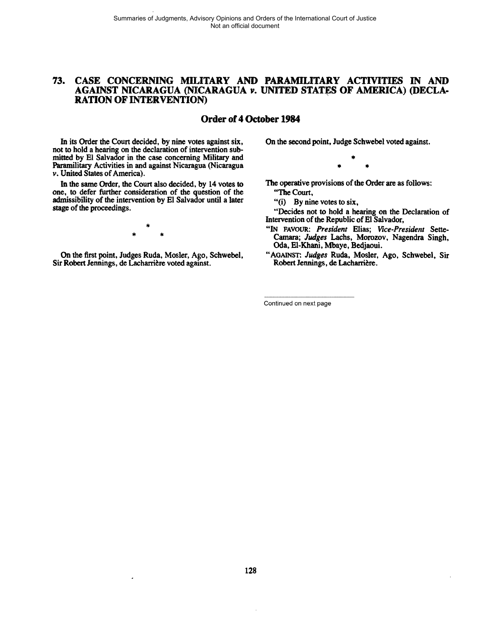# **73. CASE CONCERNING MILITARY AND PARAMILITARY ACTMTIES IN AND AGAINST NICARAGUA (NICARAGUA** *v***. UNITED STATES OF AMERICA) (DECLA-RATION OF INTERVENTION**

# **Order of 4 October 1984**

In its Order the Court decided, by nine votes against six, not **to** hold a hearing on the declaration of intervention submitted by El Salvador in the case concerning Military and Paramilitary Activities in and against Nicaragua (Nicaragua **v.** United States of America).

In the same Order, the Court also decided, by 14 votes **to**  one, **to** defer further consideration of the question of the admissibility of the intervention by El Salvador until a later stage of the proceedings.

On the first point, Judges Ruda, Mosler, Ago, Schwebel, Sir Robert Jennings, de Lacharrière voted against.

On the second point, Judge Schwebel voted against.

The operative provisions of the Order are as follows:

"The Court,

"(i) By nine votes to six,

"Decides not **to** hold a hearing on the Declaration of Intervention of the Republic of El Salvador,

- **"IN FAVOUR:** *President* Elias; *Wce-President* Sette-Camara; *Judges* Lachs, Morozov, Nagendra Singh, Oda, El-Khani, Mbaye, Bedjaoui.
- "AGAINST: *Judges* Ruda, Mosler, Ago, Schwebel, Sir Robert Jennings, de Lacharrière.

Continued on next page